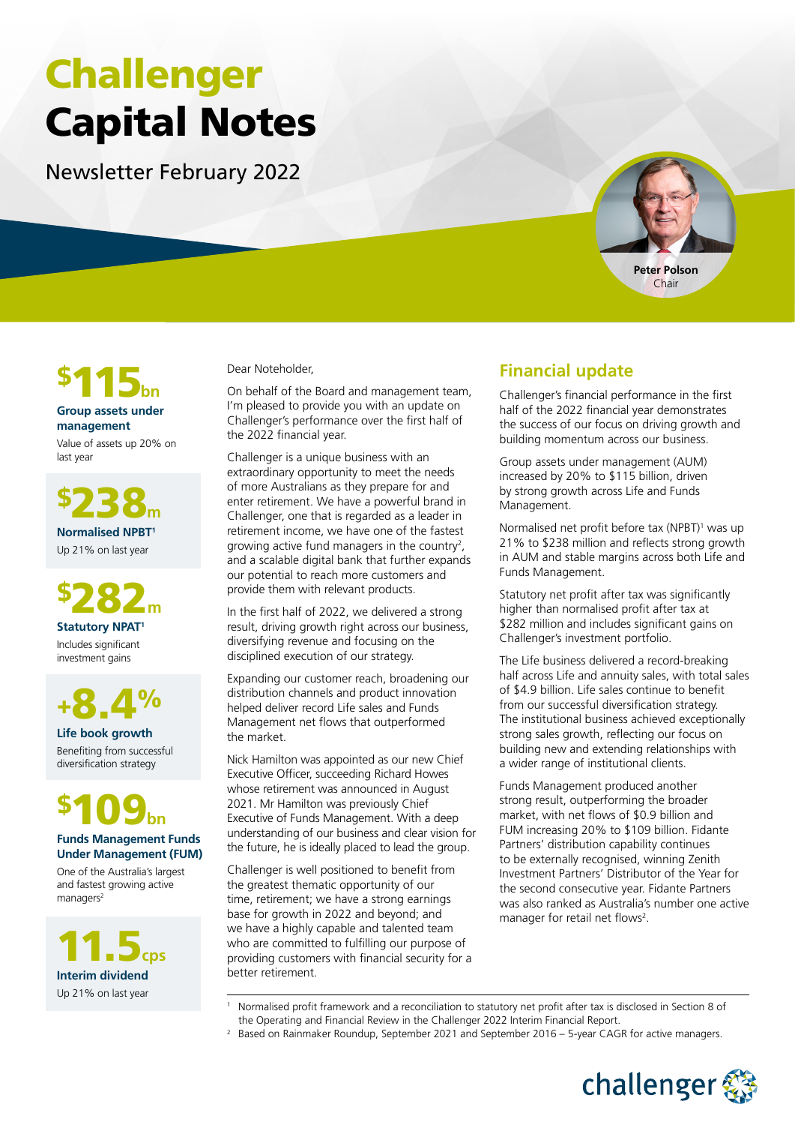# Challenger Capital Notes

Newsletter February 2022





#### **Group assets under management**

Value of assets up 20% on last year

\$238**<sup>m</sup> Normalised NPBT1** Up 21% on last year

\$282**<sup>m</sup> Statutory NPAT1** Includes significant

investment gains

+8.4%

**Life book growth** Benefiting from successful diversification strategy



#### **Funds Management Funds Under Management (FUM)**

One of the Australia's largest and fastest growing active managers<sup>2</sup>

11.5**cps Interim dividend**  Up 21% on last year

1

Dear Noteholder,

On behalf of the Board and management team, I'm pleased to provide you with an update on Challenger's performance over the first half of the 2022 financial year.

Challenger is a unique business with an extraordinary opportunity to meet the needs of more Australians as they prepare for and enter retirement. We have a powerful brand in Challenger, one that is regarded as a leader in retirement income, we have one of the fastest growing active fund managers in the country<sup>2</sup>, and a scalable digital bank that further expands our potential to reach more customers and provide them with relevant products.

In the first half of 2022, we delivered a strong result, driving growth right across our business, diversifying revenue and focusing on the disciplined execution of our strategy.

Expanding our customer reach, broadening our distribution channels and product innovation helped deliver record Life sales and Funds Management net flows that outperformed the market.

Nick Hamilton was appointed as our new Chief Executive Officer, succeeding Richard Howes whose retirement was announced in August 2021. Mr Hamilton was previously Chief Executive of Funds Management. With a deep understanding of our business and clear vision for the future, he is ideally placed to lead the group.

Challenger is well positioned to benefit from the greatest thematic opportunity of our time, retirement; we have a strong earnings base for growth in 2022 and beyond; and we have a highly capable and talented team who are committed to fulfilling our purpose of providing customers with financial security for a better retirement.

# **Financial update**

Challenger's financial performance in the first half of the 2022 financial year demonstrates the success of our focus on driving growth and building momentum across our business.

Group assets under management (AUM) increased by 20% to \$115 billion, driven by strong growth across Life and Funds Management.

Normalised net profit before tax (NPBT)<sup>1</sup> was up 21% to \$238 million and reflects strong growth in AUM and stable margins across both Life and Funds Management.

Statutory net profit after tax was significantly higher than normalised profit after tax at \$282 million and includes significant gains on Challenger's investment portfolio.

The Life business delivered a record-breaking half across Life and annuity sales, with total sales of \$4.9 billion. Life sales continue to benefit from our successful diversification strategy. The institutional business achieved exceptionally strong sales growth, reflecting our focus on building new and extending relationships with a wider range of institutional clients.

Funds Management produced another strong result, outperforming the broader market, with net flows of \$0.9 billion and FUM increasing 20% to \$109 billion. Fidante Partners' distribution capability continues to be externally recognised, winning Zenith Investment Partners' Distributor of the Year for the second consecutive year. Fidante Partners was also ranked as Australia's number one active manager for retail net flows<sup>2</sup>.

- Normalised profit framework and a reconciliation to statutory net profit after tax is disclosed in Section 8 of the Operating and Financial Review in the Challenger 2022 Interim Financial Report.
- <sup>2</sup> Based on Rainmaker Roundup, September 2021 and September 2016 5-year CAGR for active managers.